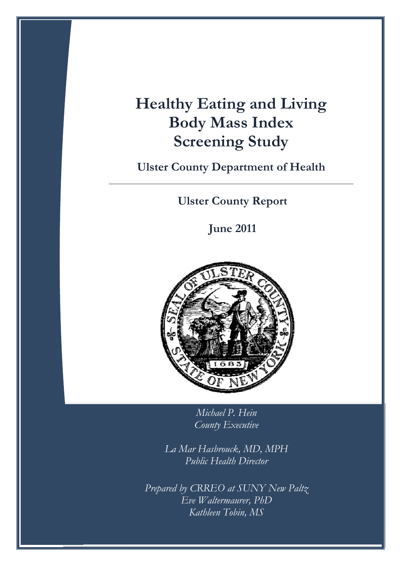# **Healthy Eating and Living Body Mass Index Screening Study**

**Ulster County Department of Health**

**Ulster County Report**

**June 2011**



 *Michael P. Hein County Executive* 

 *La Mar Hasbrouck, MD, MPH Public Health Director* 

 *Prepared by CRREO at SUNY New Paltz Eve Waltermaurer, PhD Kathleen Tobin, MS*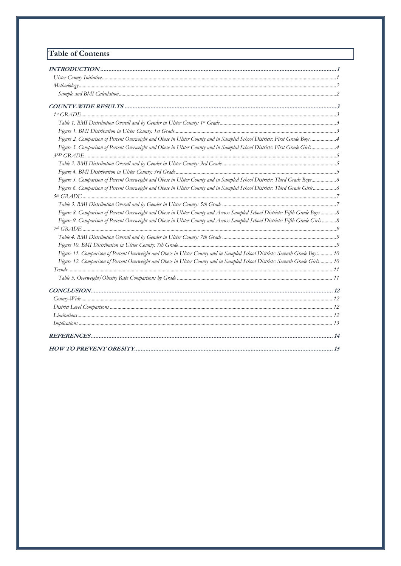# **Table of Contents**

| Figure 2. Comparison of Percent Overweight and Obese in Ulster County and in Sampled School Districts: First Grade Boys4        |  |
|---------------------------------------------------------------------------------------------------------------------------------|--|
| Figure 3. Comparison of Percent Overweight and Obese in Ulster County and in Sampled School Districts: First Grade Girls4       |  |
|                                                                                                                                 |  |
|                                                                                                                                 |  |
|                                                                                                                                 |  |
| Figure 5. Comparison of Percent Overweight and Obese in Ulster County and in Sampled School Districts: Third Grade Boys6        |  |
| Figure 6. Comparison of Percent Overweight and Obese in Ulster County and in Sampled School Districts: Third Grade Girls6       |  |
|                                                                                                                                 |  |
|                                                                                                                                 |  |
| Figure 8. Comparison of Percent Overweight and Obese in Ulster County and Across Sampled School Districts: Fifth Grade Boys  8  |  |
| Figure 9. Comparison of Percent Overweight and Obese in Ulster County and Across Sampled School Districts: Fifth Grade Girls  8 |  |
|                                                                                                                                 |  |
|                                                                                                                                 |  |
|                                                                                                                                 |  |
| Figure 11. Comparison of Percent Overweight and Obese in Ulster County and in Sampled School Districts: Seventh Grade Boys 10   |  |
| Figure 12. Comparison of Percent Overweight and Obese in Ulster County and in Sampled School Districts: Seventh Grade Girls 10  |  |
|                                                                                                                                 |  |
|                                                                                                                                 |  |
|                                                                                                                                 |  |
|                                                                                                                                 |  |
|                                                                                                                                 |  |
|                                                                                                                                 |  |
|                                                                                                                                 |  |
|                                                                                                                                 |  |
|                                                                                                                                 |  |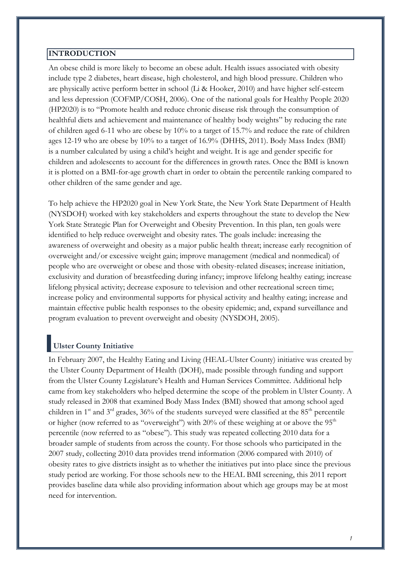#### <span id="page-2-0"></span>**INTRODUCTION**

An obese child is more likely to become an obese adult. Health issues associated with obesity include type 2 diabetes, heart disease, high cholesterol, and high blood pressure. Children who are physically active perform better in school (Li & Hooker, 2010) and have higher self-esteem and less depression (COFMP/COSH, 2006). One of the national goals for Healthy People 2020 (HP2020) is to "Promote health and reduce chronic disease risk through the consumption of healthful diets and achievement and maintenance of healthy body weights" by reducing the rate of children aged 6-11 who are obese by 10% to a target of 15.7% and reduce the rate of children ages 12-19 who are obese by 10% to a target of 16.9% (DHHS, 2011). Body Mass Index (BMI) is a number calculated by using a child's height and weight. It is age and gender specific for children and adolescents to account for the differences in growth rates. Once the BMI is known it is plotted on a BMI-for-age growth chart in order to obtain the percentile ranking compared to other children of the same gender and age.

To help achieve the HP2020 goal in New York State, the New York State Department of Health (NYSDOH) worked with key stakeholders and experts throughout the state to develop the New York State Strategic Plan for Overweight and Obesity Prevention. In this plan, ten goals were identified to help reduce overweight and obesity rates. The goals include: increasing the awareness of overweight and obesity as a major public health threat; increase early recognition of overweight and/or excessive weight gain; improve management (medical and nonmedical) of people who are overweight or obese and those with obesity-related diseases; increase initiation, exclusivity and duration of breastfeeding during infancy; improve lifelong healthy eating; increase lifelong physical activity; decrease exposure to television and other recreational screen time; increase policy and environmental supports for physical activity and healthy eating; increase and maintain effective public health responses to the obesity epidemic; and, expand surveillance and program evaluation to prevent overweight and obesity (NYSDOH, 2005).

# <span id="page-2-1"></span>**Ulster County Initiative**

In February 2007, the Healthy Eating and Living (HEAL-Ulster County) initiative was created by the Ulster County Department of Health (DOH), made possible through funding and support from the Ulster County Legislature's Health and Human Services Committee. Additional help came from key stakeholders who helped determine the scope of the problem in Ulster County. A study released in 2008 that examined Body Mass Index (BMI) showed that among school aged children in  $1^{st}$  and  $3^{rd}$  grades,  $36\%$  of the students surveyed were classified at the  $85^{th}$  percentile or higher (now referred to as "overweight") with  $20\%$  of these weighing at or above the  $95<sup>th</sup>$ percentile (now referred to as "obese"). This study was repeated collecting 2010 data for a broader sample of students from across the county. For those schools who participated in the 2007 study, collecting 2010 data provides trend information (2006 compared with 2010) of obesity rates to give districts insight as to whether the initiatives put into place since the previous study period are working. For those schools new to the HEAL BMI screening, this 2011 report provides baseline data while also providing information about which age groups may be at most need for intervention.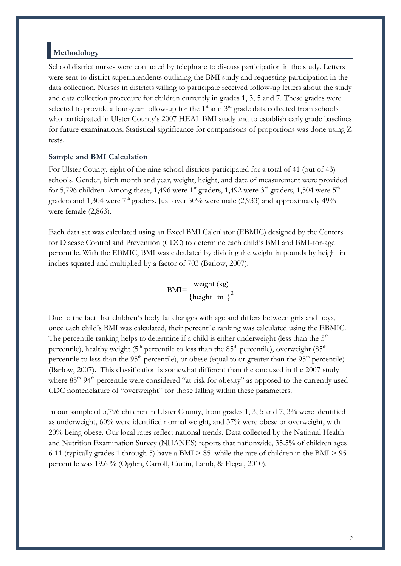### <span id="page-3-0"></span>**Methodology**

School district nurses were contacted by telephone to discuss participation in the study. Letters were sent to district superintendents outlining the BMI study and requesting participation in the data collection. Nurses in districts willing to participate received follow-up letters about the study and data collection procedure for children currently in grades 1, 3, 5 and 7. These grades were selected to provide a four-year follow-up for the  $1<sup>st</sup>$  and  $3<sup>rd</sup>$  grade data collected from schools who participated in Ulster County's 2007 HEAL BMI study and to establish early grade baselines for future examinations. Statistical significance for comparisons of proportions was done using Z tests.

#### <span id="page-3-1"></span>**Sample and BMI Calculation**

For Ulster County, eight of the nine school districts participated for a total of 41 (out of 43) schools. Gender, birth month and year, weight, height, and date of measurement were provided for 5,796 children. Among these, 1,496 were 1<sup>st</sup> graders, 1,492 were 3<sup>rd</sup> graders, 1,504 were 5<sup>th</sup> graders and 1,304 were  $7<sup>th</sup>$  graders. Just over 50% were male (2,933) and approximately 49% were female (2,863).

Each data set was calculated using an Excel BMI Calculator (EBMIC) designed by the Centers for Disease Control and Prevention (CDC) to determine each child's BMI and BMI-for-age percentile. With the EBMIC, BMI was calculated by dividing the weight in pounds by height in inches squared and multiplied by a factor of 703 (Barlow, 2007).

BMI= $\frac{\text{weight (kg)}}{\left\{\text{height m}\right\}^2}$ 

Due to the fact that children's body fat changes with age and differs between girls and boys, once each child's BMI was calculated, their percentile ranking was calculated using the EBMIC. The percentile ranking helps to determine if a child is either underweight (less than the  $5<sup>th</sup>$ percentile), healthy weight ( $5<sup>th</sup>$  percentile to less than the  $85<sup>th</sup>$  percentile), overweight ( $85<sup>th</sup>$ percentile to less than the 95<sup>th</sup> percentile), or obese (equal to or greater than the 95<sup>th</sup> percentile) (Barlow, 2007). This classification is somewhat different than the one used in the 2007 study where 85<sup>th</sup>-94<sup>th</sup> percentile were considered "at-risk for obesity" as opposed to the currently used CDC nomenclature of "overweight" for those falling within these parameters.

In our sample of 5,796 children in Ulster County, from grades 1, 3, 5 and 7, 3% were identified as underweight, 60% were identified normal weight, and 37% were obese or overweight, with 20% being obese. Our local rates reflect national trends. Data collected by the National Health and Nutrition Examination Survey (NHANES) reports that nationwide, 35.5% of children ages 6-11 (typically grades 1 through 5) have a BMI  $> 85$  while the rate of children in the BMI  $> 95$ percentile was 19.6 % (Ogden, Carroll, Curtin, Lamb, & Flegal, 2010).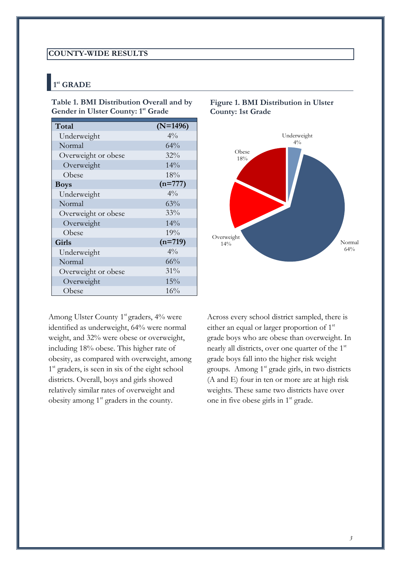#### <span id="page-4-0"></span>**COUNTY-WIDE RESULTS**

# <span id="page-4-1"></span>**1 st GRADE**

<span id="page-4-2"></span>**Table 1. BMI Distribution Overall and by Gender in Ulster County: 1 st Grade** 

| Total               | $(N=1496)$     |
|---------------------|----------------|
| Underweight         | $4\%$          |
| Normal              | 64%            |
| Overweight or obese | 32%            |
| Overweight          | 14%            |
| Obese               | 18%            |
| <b>Boys</b>         | $(n=777)$      |
| Underweight         | $4\%$          |
| Normal              | 63%            |
| Overweight or obese | 33%            |
| Overweight          | 14%            |
| Obese               | 19%            |
| Girls               | $(n=719)$      |
| Underweight         | $4\frac{0}{0}$ |
| Normal              | 66%            |
| Overweight or obese | 31%            |
| Overweight          | 15%            |
| Obese               | 16%            |

Among Ulster County 1<sup>st</sup> graders, 4% were identified as underweight, 64% were normal weight, and 32% were obese or overweight, including 18% obese. This higher rate of obesity, as compared with overweight, among 1<sup>st</sup> graders, is seen in six of the eight school districts. Overall, boys and girls showed relatively similar rates of overweight and obesity among  $1<sup>st</sup>$  graders in the county.



#### <span id="page-4-3"></span>**Figure 1. BMI Distribution in Ulster County: 1st Grade**

Across every school district sampled, there is either an equal or larger proportion of  $1<sup>st</sup>$ grade boys who are obese than overweight. In nearly all districts, over one quarter of the 1<sup>st</sup> grade boys fall into the higher risk weight groups. Among  $1<sup>st</sup>$  grade girls, in two districts (A and E) four in ten or more are at high risk weights. These same two districts have over one in five obese girls in 1<sup>st</sup> grade.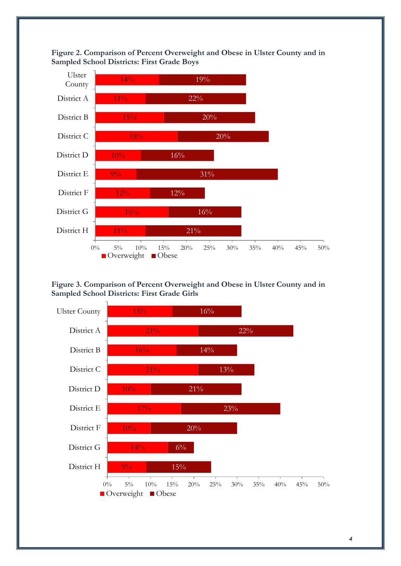<span id="page-5-0"></span>



<span id="page-5-1"></span>**Figure 3. Comparison of Percent Overweight and Obese in Ulster County and in Sampled School Districts: First Grade Girls** 

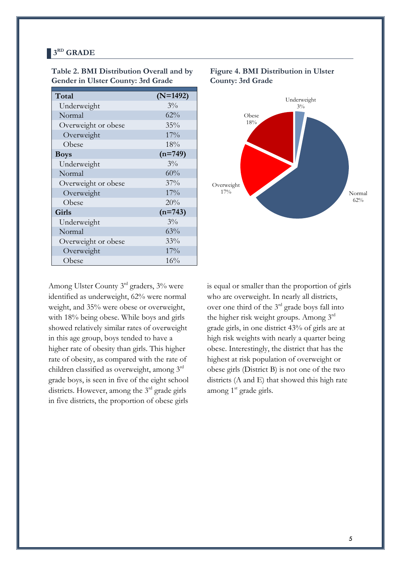#### <span id="page-6-0"></span>**3 RD GRADE**

| Total               | $(N=1492)$ |
|---------------------|------------|
| Underweight         | $3\%$      |
| Normal              | 62%        |
| Overweight or obese | 35%        |
| Overweight          | 17%        |
| Obese               | 18%        |
| <b>Boys</b>         | $(n=749)$  |
| Underweight         | $3\%$      |
| Normal              | 60%        |
| Overweight or obese | 37%        |
| Overweight          | 17%        |
| Obese               | 20%        |
| Girls               | $(n=743)$  |
| Underweight         | $3\%$      |
| Normal              | 63%        |
| Overweight or obese | 33%        |
| Overweight          | 17%        |
| Obese               | 16%        |

<span id="page-6-1"></span>**Table 2. BMI Distribution Overall and by Gender in Ulster County: 3rd Grade** 

# <span id="page-6-2"></span>**Figure 4. BMI Distribution in Ulster County: 3rd Grade**



Among Ulster County 3rd graders, 3% were identified as underweight, 62% were normal weight, and 35% were obese or overweight, with 18% being obese. While boys and girls showed relatively similar rates of overweight in this age group, boys tended to have a higher rate of obesity than girls. This higher rate of obesity, as compared with the rate of children classified as overweight, among 3rd grade boys, is seen in five of the eight school districts. However, among the 3<sup>rd</sup> grade girls in five districts, the proportion of obese girls

is equal or smaller than the proportion of girls who are overweight. In nearly all districts, over one third of the 3rd grade boys fall into the higher risk weight groups. Among 3rd grade girls, in one district 43% of girls are at high risk weights with nearly a quarter being obese. Interestingly, the district that has the highest at risk population of overweight or obese girls (District B) is not one of the two districts (A and E) that showed this high rate among  $1<sup>st</sup>$  grade girls.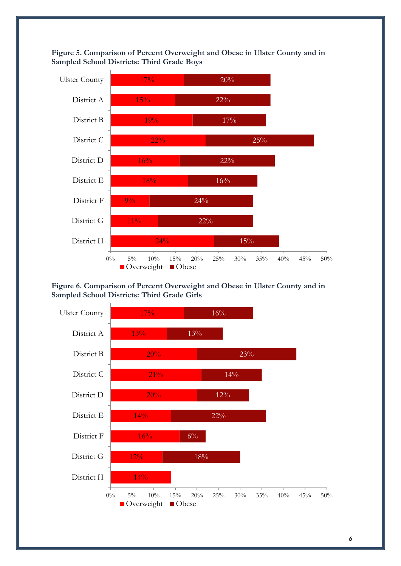<span id="page-7-0"></span>



#### <span id="page-7-1"></span>**Figure 6. Comparison of Percent Overweight and Obese in Ulster County and in Sampled School Districts: Third Grade Girls**

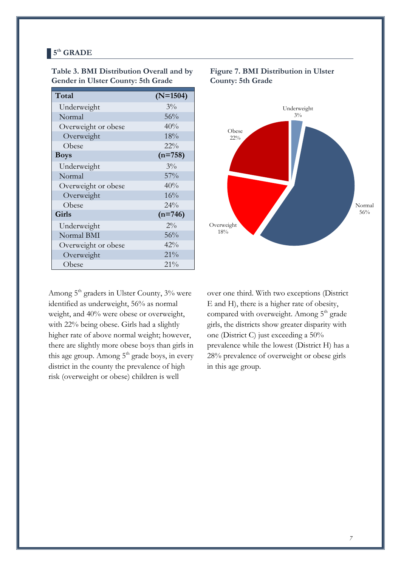#### <span id="page-8-0"></span>**5 th GRADE**

| Total               | $(N=1504)$ |
|---------------------|------------|
| Underweight         | $3\%$      |
| Normal              | 56%        |
| Overweight or obese | 40%        |
| Overweight          | 18%        |
| Obese               | $22\%$     |
| <b>Boys</b>         | $(n=758)$  |
| Underweight         | $3\%$      |
| Normal              | 57%        |
| Overweight or obese | 40%        |
| Overweight          | 16%        |
| Obese               | 24%        |
| Girls               | $(n=746)$  |
| Underweight         | $2\%$      |
| Normal BMI          | 56%        |
| Overweight or obese | 42%        |
| Overweight          | 21%        |
| Obese               | 21%        |

<span id="page-8-1"></span>**Table 3. BMI Distribution Overall and by Gender in Ulster County: 5th Grade** 

Among 5<sup>th</sup> graders in Ulster County, 3% were identified as underweight, 56% as normal weight, and 40% were obese or overweight, with 22% being obese. Girls had a slightly higher rate of above normal weight; however, there are slightly more obese boys than girls in this age group. Among  $5<sup>th</sup>$  grade boys, in every district in the county the prevalence of high risk (overweight or obese) children is well



#### **Figure 7. BMI Distribution in Ulster County: 5th Grade**

over one third. With two exceptions (District E and H), there is a higher rate of obesity, compared with overweight. Among  $5<sup>th</sup>$  grade girls, the districts show greater disparity with one (District C) just exceeding a 50% prevalence while the lowest (District H) has a 28% prevalence of overweight or obese girls in this age group.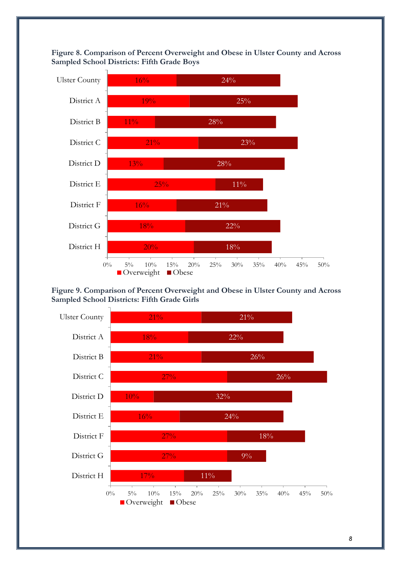<span id="page-9-0"></span>**Figure 8. Comparison of Percent Overweight and Obese in Ulster County and Across Sampled School Districts: Fifth Grade Boys** 



<span id="page-9-1"></span>**Figure 9. Comparison of Percent Overweight and Obese in Ulster County and Across Sampled School Districts: Fifth Grade Girls** 

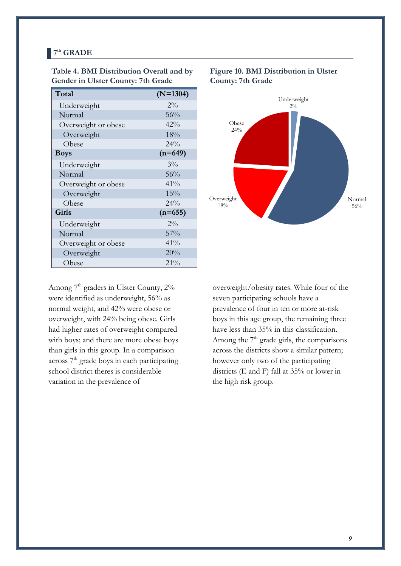#### <span id="page-10-0"></span>**7 th GRADE**

| Total               | $(N=1304)$ |
|---------------------|------------|
| Underweight         | $2\%$      |
| Normal              | 56%        |
| Overweight or obese | 42%        |
| Overweight          | 18%        |
| Obese               | 24%        |
| <b>Boys</b>         | $(n=649)$  |
| Underweight         | $3\%$      |
| Normal              | 56%        |
| Overweight or obese | 41%        |
| Overweight          | 15%        |
| Obese               | $2.4\%$    |
| <b>Girls</b>        | $(n=655)$  |
| Underweight         | $2\%$      |
| Normal              | 57%        |
| Overweight or obese | 41%        |
| Overweight          | 20%        |
| Obese               | 21%        |

#### <span id="page-10-1"></span>**Table 4. BMI Distribution Overall and by Gender in Ulster County: 7th Grade**

Among 7<sup>th</sup> graders in Ulster County, 2% were identified as underweight, 56% as normal weight, and 42% were obese or overweight, with 24% being obese. Girls had higher rates of overweight compared with boys; and there are more obese boys than girls in this group. In a comparison across  $7<sup>th</sup>$  grade boys in each participating school district theres is considerable variation in the prevalence of

#### <span id="page-10-2"></span>**Figure 10. BMI Distribution in Ulster County: 7th Grade**



overweight/obesity rates. While four of the seven participating schools have a prevalence of four in ten or more at-risk boys in this age group, the remaining three have less than 35% in this classification. Among the  $7<sup>th</sup>$  grade girls, the comparisons across the districts show a similar pattern; however only two of the participating districts (E and F) fall at 35% or lower in the high risk group.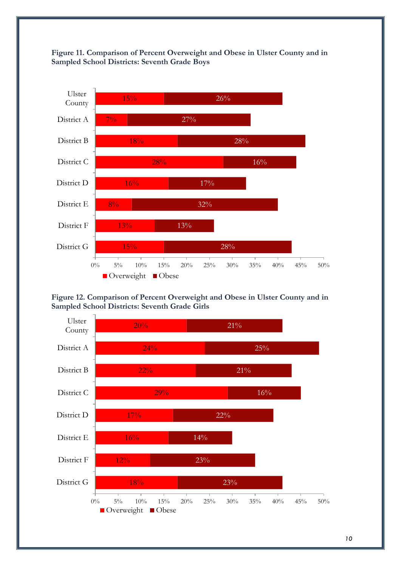<span id="page-11-0"></span>



#### <span id="page-11-1"></span>**Figure 12. Comparison of Percent Overweight and Obese in Ulster County and in Sampled School Districts: Seventh Grade Girls**

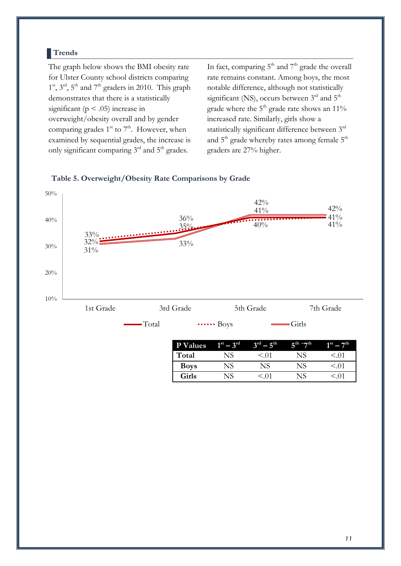#### <span id="page-12-0"></span>**Trends**

The graph below shows the BMI obesity rate for Ulster County school districts comparing  $1<sup>st</sup>$ ,  $3<sup>rd</sup>$ ,  $5<sup>th</sup>$  and  $7<sup>th</sup>$  graders in 2010. This graph demonstrates that there is a statistically significant ( $p < .05$ ) increase in overweight/obesity overall and by gender comparing grades  $1^{st}$  to  $7^{th}$ . However, when examined by sequential grades, the increase is only significant comparing 3<sup>rd</sup> and 5<sup>th</sup> grades.

In fact, comparing  $5<sup>th</sup>$  and  $7<sup>th</sup>$  grade the overall rate remains constant. Among boys, the most notable difference, although not statistically significant (NS), occurs between  $3<sup>rd</sup>$  and  $5<sup>th</sup>$ grade where the  $5<sup>th</sup>$  grade rate shows an 11% increased rate. Similarly, girls show a statistically significant difference between 3rd and  $5<sup>th</sup>$  grade whereby rates among female  $5<sup>th</sup>$ graders are 27% higher.



#### <span id="page-12-1"></span>**Table 5. Overweight/Obesity Rate Comparisons by Grade**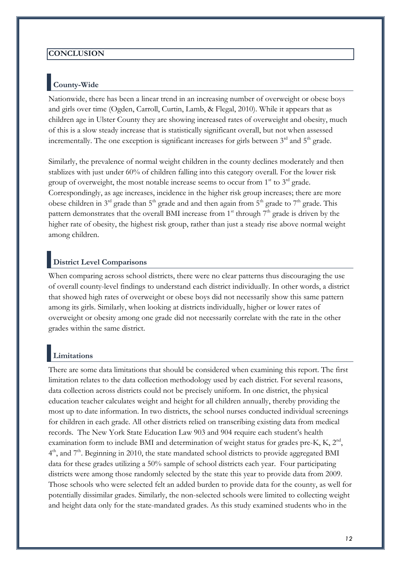#### <span id="page-13-0"></span>**CONCLUSION**

# <span id="page-13-1"></span>**County-Wide**

Nationwide, there has been a linear trend in an increasing number of overweight or obese boys and girls over time (Ogden, Carroll, Curtin, Lamb, & Flegal, 2010). While it appears that as children age in Ulster County they are showing increased rates of overweight and obesity, much of this is a slow steady increase that is statistically significant overall, but not when assessed incrementally. The one exception is significant increases for girls between  $3<sup>rd</sup>$  and  $5<sup>th</sup>$  grade.

Similarly, the prevalence of normal weight children in the county declines moderately and then stablizes with just under 60% of children falling into this category overall. For the lower risk group of overweight, the most notable increase seems to occur from  $1<sup>st</sup>$  to  $3<sup>rd</sup>$  grade. Correspondingly, as age increases, incidence in the higher risk group increases; there are more obese children in  $3<sup>rd</sup>$  grade than  $5<sup>th</sup>$  grade and and then again from  $5<sup>th</sup>$  grade to  $7<sup>th</sup>$  grade. This pattern demonstrates that the overall BMI increase from  $1<sup>st</sup>$  through  $7<sup>th</sup>$  grade is driven by the higher rate of obesity, the highest risk group, rather than just a steady rise above normal weight among children.

## <span id="page-13-2"></span>**District Level Comparisons**

When comparing across school districts, there were no clear patterns thus discouraging the use of overall county-level findings to understand each district individually. In other words, a district that showed high rates of overweight or obese boys did not necessarily show this same pattern among its girls. Similarly, when looking at districts individually, higher or lower rates of overweight or obesity among one grade did not necessarily correlate with the rate in the other grades within the same district.

# <span id="page-13-3"></span>**Limitations**

There are some data limitations that should be considered when examining this report. The first limitation relates to the data collection methodology used by each district. For several reasons, data collection across districts could not be precisely uniform. In one district, the physical education teacher calculates weight and height for all children annually, thereby providing the most up to date information. In two districts, the school nurses conducted individual screenings for children in each grade. All other districts relied on transcribing existing data from medical records. The New York State Education Law 903 and 904 require each student's health examination form to include BMI and determination of weight status for grades pre-K, K,  $2<sup>nd</sup>$ , 4<sup>th</sup>, and 7<sup>th</sup>. Beginning in 2010, the state mandated school districts to provide aggregated BMI data for these grades utilizing a 50% sample of school districts each year. Four participating districts were among those randomly selected by the state this year to provide data from 2009. Those schools who were selected felt an added burden to provide data for the county, as well for potentially dissimilar grades. Similarly, the non-selected schools were limited to collecting weight and height data only for the state-mandated grades. As this study examined students who in the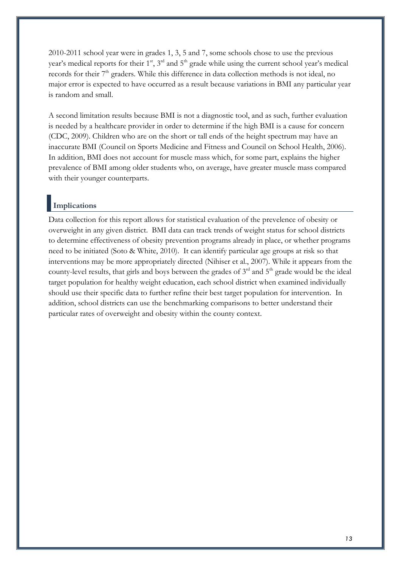2010-2011 school year were in grades 1, 3, 5 and 7, some schools chose to use the previous year's medical reports for their  $1<sup>st</sup>$ ,  $3<sup>rd</sup>$  and  $5<sup>th</sup>$  grade while using the current school year's medical records for their  $7<sup>th</sup>$  graders. While this difference in data collection methods is not ideal, no major error is expected to have occurred as a result because variations in BMI any particular year is random and small.

A second limitation results because BMI is not a diagnostic tool, and as such, further evaluation is needed by a healthcare provider in order to determine if the high BMI is a cause for concern (CDC, 2009). Children who are on the short or tall ends of the height spectrum may have an inaccurate BMI (Council on Sports Medicine and Fitness and Council on School Health, 2006). In addition, BMI does not account for muscle mass which, for some part, explains the higher prevalence of BMI among older students who, on average, have greater muscle mass compared with their younger counterparts.

#### <span id="page-14-0"></span>**Implications**

Data collection for this report allows for statistical evaluation of the prevelence of obesity or overweight in any given district. BMI data can track trends of weight status for school districts to determine effectiveness of obesity prevention programs already in place, or whether programs need to be initiated (Soto & White, 2010). It can identify particular age groups at risk so that interventions may be more appropriately directed (Nihiser et al., 2007). While it appears from the county-level results, that girls and boys between the grades of  $3<sup>rd</sup>$  and  $5<sup>th</sup>$  grade would be the ideal target population for healthy weight education, each school district when examined individually should use their specific data to further refine their best target population for intervention. In addition, school districts can use the benchmarking comparisons to better understand their particular rates of overweight and obesity within the county context.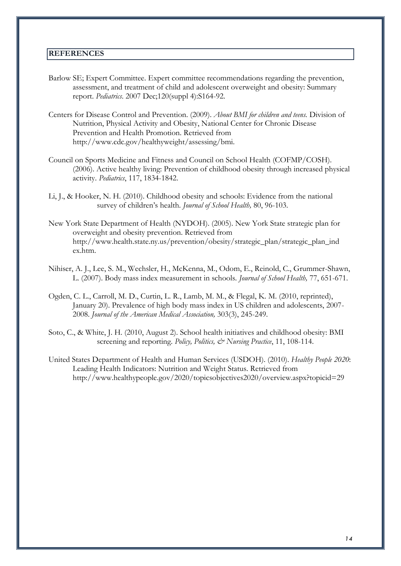#### <span id="page-15-0"></span>**REFERENCES**

- Barlow SE; Expert Committee. Expert committee recommendations regarding the prevention, assessment, and treatment of child and adolescent overweight and obesity: Summary report. *Pediatrics*. 2007 Dec;120(suppl 4):S164-92.
- Centers for Disease Control and Prevention. (2009). *About BMI for children and teens.* Division of Nutrition, Physical Activity and Obesity, National Center for Chronic Disease Prevention and Health Promotion. Retrieved from http://www.cdc.gov/healthyweight/assessing/bmi.
- Council on Sports Medicine and Fitness and Council on School Health (COFMP/COSH). (2006). Active healthy living: Prevention of childhood obesity through increased physical activity. *Pediatrics*, 117, 1834-1842.
- Li, J., & Hooker, N. H. (2010). Childhood obesity and schools: Evidence from the national survey of children's health. *Journal of School Health,* 80, 96-103.
- New York State Department of Health (NYDOH). (2005). New York State strategic plan for overweight and obesity prevention. Retrieved from http://www.health.state.ny.us/prevention/obesity/strategic\_plan/strategic\_plan\_ind ex.htm.
- Nihiser, A. J., Lee, S. M., Wechsler, H., McKenna, M., Odom, E., Reinold, C., Grummer-Shawn, L. (2007). Body mass index measurement in schools. *Journal of School Health,* 77, 651-671.
- Ogden, C. L., Carroll, M. D., Curtin, L. R., Lamb, M. M., & Flegal, K. M. (2010, reprinted), January 20). Prevalence of high body mass index in US children and adolescents, 2007- 2008. *Journal of the American Medical Association,* 303(3), 245-249.
- Soto, C., & White, J. H. (2010, August 2). School health initiatives and childhood obesity: BMI screening and reporting. *Policy, Politics, & Nursing Practice*, 11, 108-114.
- United States Department of Health and Human Services (USDOH). (2010). *Healthy People 2020*: Leading Health Indicators: Nutrition and Weight Status. Retrieved from http://www.healthypeople.gov/2020/topicsobjectives2020/overview.aspx?topicid=29